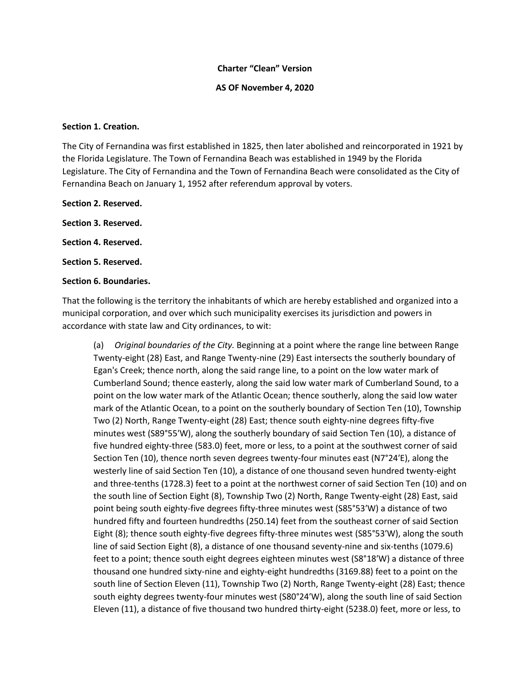### **Charter "Clean" Version**

**AS OF November 4, 2020**

#### **Section 1. Creation.**

The City of Fernandina was first established in 1825, then later abolished and reincorporated in 1921 by the Florida Legislature. The Town of Fernandina Beach was established in 1949 by the Florida Legislature. The City of Fernandina and the Town of Fernandina Beach were consolidated as the City of Fernandina Beach on January 1, 1952 after referendum approval by voters.

**Section 2. Reserved. Section 3. Reserved. Section 4. Reserved.**

**Section 5. Reserved.**

## **Section 6. Boundaries.**

That the following is the territory the inhabitants of which are hereby established and organized into a municipal corporation, and over which such municipality exercises its jurisdiction and powers in accordance with state law and City ordinances, to wit:

(a) *Original boundaries of the City.* Beginning at a point where the range line between Range Twenty-eight (28) East, and Range Twenty-nine (29) East intersects the southerly boundary of Egan's Creek; thence north, along the said range line, to a point on the low water mark of Cumberland Sound; thence easterly, along the said low water mark of Cumberland Sound, to a point on the low water mark of the Atlantic Ocean; thence southerly, along the said low water mark of the Atlantic Ocean, to a point on the southerly boundary of Section Ten (10), Township Two (2) North, Range Twenty-eight (28) East; thence south eighty-nine degrees fifty-five minutes west (S89°55′W), along the southerly boundary of said Section Ten (10), a distance of five hundred eighty-three (583.0) feet, more or less, to a point at the southwest corner of said Section Ten (10), thence north seven degrees twenty-four minutes east (N7°24'E), along the westerly line of said Section Ten (10), a distance of one thousand seven hundred twenty-eight and three-tenths (1728.3) feet to a point at the northwest corner of said Section Ten (10) and on the south line of Section Eight (8), Township Two (2) North, Range Twenty-eight (28) East, said point being south eighty-five degrees fifty-three minutes west (S85°53′W) a distance of two hundred fifty and fourteen hundredths (250.14) feet from the southeast corner of said Section Eight (8); thence south eighty-five degrees fifty-three minutes west (S85°53′W), along the south line of said Section Eight (8), a distance of one thousand seventy-nine and six-tenths (1079.6) feet to a point; thence south eight degrees eighteen minutes west (S8°18′W) a distance of three thousand one hundred sixty-nine and eighty-eight hundredths (3169.88) feet to a point on the south line of Section Eleven (11), Township Two (2) North, Range Twenty-eight (28) East; thence south eighty degrees twenty-four minutes west (S80°24′W), along the south line of said Section Eleven (11), a distance of five thousand two hundred thirty-eight (5238.0) feet, more or less, to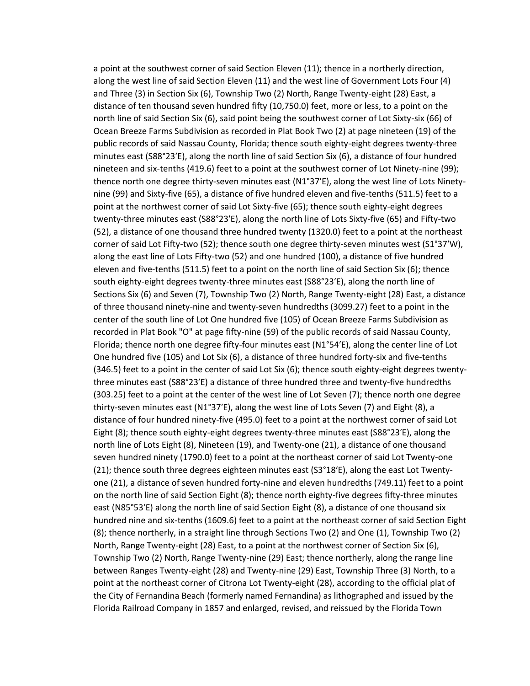a point at the southwest corner of said Section Eleven (11); thence in a northerly direction, along the west line of said Section Eleven (11) and the west line of Government Lots Four (4) and Three (3) in Section Six (6), Township Two (2) North, Range Twenty-eight (28) East, a distance of ten thousand seven hundred fifty (10,750.0) feet, more or less, to a point on the north line of said Section Six (6), said point being the southwest corner of Lot Sixty-six (66) of Ocean Breeze Farms Subdivision as recorded in Plat Book Two (2) at page nineteen (19) of the public records of said Nassau County, Florida; thence south eighty-eight degrees twenty-three minutes east (S88°23′E), along the north line of said Section Six (6), a distance of four hundred nineteen and six-tenths (419.6) feet to a point at the southwest corner of Lot Ninety-nine (99); thence north one degree thirty-seven minutes east (N1°37′E), along the west line of Lots Ninetynine (99) and Sixty-five (65), a distance of five hundred eleven and five-tenths (511.5) feet to a point at the northwest corner of said Lot Sixty-five (65); thence south eighty-eight degrees twenty-three minutes east (S88°23′E), along the north line of Lots Sixty-five (65) and Fifty-two (52), a distance of one thousand three hundred twenty (1320.0) feet to a point at the northeast corner of said Lot Fifty-two (52); thence south one degree thirty-seven minutes west (S1°37′W), along the east line of Lots Fifty-two (52) and one hundred (100), a distance of five hundred eleven and five-tenths (511.5) feet to a point on the north line of said Section Six (6); thence south eighty-eight degrees twenty-three minutes east (S88°23′E), along the north line of Sections Six (6) and Seven (7), Township Two (2) North, Range Twenty-eight (28) East, a distance of three thousand ninety-nine and twenty-seven hundredths (3099.27) feet to a point in the center of the south line of Lot One hundred five (105) of Ocean Breeze Farms Subdivision as recorded in Plat Book "O" at page fifty-nine (59) of the public records of said Nassau County, Florida; thence north one degree fifty-four minutes east (N1°54′E), along the center line of Lot One hundred five (105) and Lot Six (6), a distance of three hundred forty-six and five-tenths (346.5) feet to a point in the center of said Lot Six (6); thence south eighty-eight degrees twentythree minutes east (S88°23′E) a distance of three hundred three and twenty-five hundredths (303.25) feet to a point at the center of the west line of Lot Seven (7); thence north one degree thirty-seven minutes east (N1°37′E), along the west line of Lots Seven (7) and Eight (8), a distance of four hundred ninety-five (495.0) feet to a point at the northwest corner of said Lot Eight (8); thence south eighty-eight degrees twenty-three minutes east (S88°23′E), along the north line of Lots Eight (8), Nineteen (19), and Twenty-one (21), a distance of one thousand seven hundred ninety (1790.0) feet to a point at the northeast corner of said Lot Twenty-one (21); thence south three degrees eighteen minutes east (S3°18′E), along the east Lot Twentyone (21), a distance of seven hundred forty-nine and eleven hundredths (749.11) feet to a point on the north line of said Section Eight (8); thence north eighty-five degrees fifty-three minutes east (N85°53′E) along the north line of said Section Eight (8), a distance of one thousand six hundred nine and six-tenths (1609.6) feet to a point at the northeast corner of said Section Eight (8); thence northerly, in a straight line through Sections Two (2) and One (1), Township Two (2) North, Range Twenty-eight (28) East, to a point at the northwest corner of Section Six (6), Township Two (2) North, Range Twenty-nine (29) East; thence northerly, along the range line between Ranges Twenty-eight (28) and Twenty-nine (29) East, Township Three (3) North, to a point at the northeast corner of Citrona Lot Twenty-eight (28), according to the official plat of the City of Fernandina Beach (formerly named Fernandina) as lithographed and issued by the Florida Railroad Company in 1857 and enlarged, revised, and reissued by the Florida Town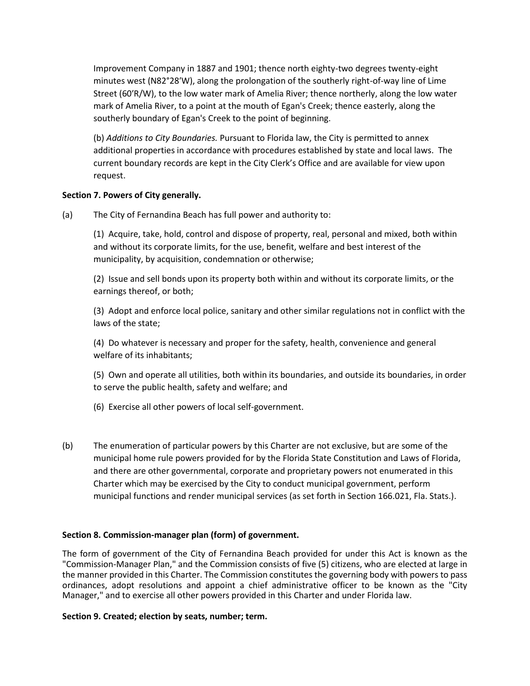Improvement Company in 1887 and 1901; thence north eighty-two degrees twenty-eight minutes west (N82°28′W), along the prolongation of the southerly right-of-way line of Lime Street (60′R/W), to the low water mark of Amelia River; thence northerly, along the low water mark of Amelia River, to a point at the mouth of Egan's Creek; thence easterly, along the southerly boundary of Egan's Creek to the point of beginning.

(b) *Additions to City Boundaries.* Pursuant to Florida law, the City is permitted to annex additional properties in accordance with procedures established by state and local laws. The current boundary records are kept in the City Clerk's Office and are available for view upon request.

# **Section 7. Powers of City generally.**

(a) The City of Fernandina Beach has full power and authority to:

(1) Acquire, take, hold, control and dispose of property, real, personal and mixed, both within and without its corporate limits, for the use, benefit, welfare and best interest of the municipality, by acquisition, condemnation or otherwise;

(2) Issue and sell bonds upon its property both within and without its corporate limits, or the earnings thereof, or both;

(3) Adopt and enforce local police, sanitary and other similar regulations not in conflict with the laws of the state;

(4) Do whatever is necessary and proper for the safety, health, convenience and general welfare of its inhabitants;

(5) Own and operate all utilities, both within its boundaries, and outside its boundaries, in order to serve the public health, safety and welfare; and

(6) Exercise all other powers of local self-government.

(b) The enumeration of particular powers by this Charter are not exclusive, but are some of the municipal home rule powers provided for by the Florida State Constitution and Laws of Florida, and there are other governmental, corporate and proprietary powers not enumerated in this Charter which may be exercised by the City to conduct municipal government, perform municipal functions and render municipal services (as set forth in Section 166.021, Fla. Stats.).

## **Section 8. Commission-manager plan (form) of government.**

The form of government of the City of Fernandina Beach provided for under this Act is known as the "Commission-Manager Plan," and the Commission consists of five (5) citizens, who are elected at large in the manner provided in this Charter. The Commission constitutes the governing body with powers to pass ordinances, adopt resolutions and appoint a chief administrative officer to be known as the "City Manager," and to exercise all other powers provided in this Charter and under Florida law.

## **Section 9. Created; election by seats, number; term.**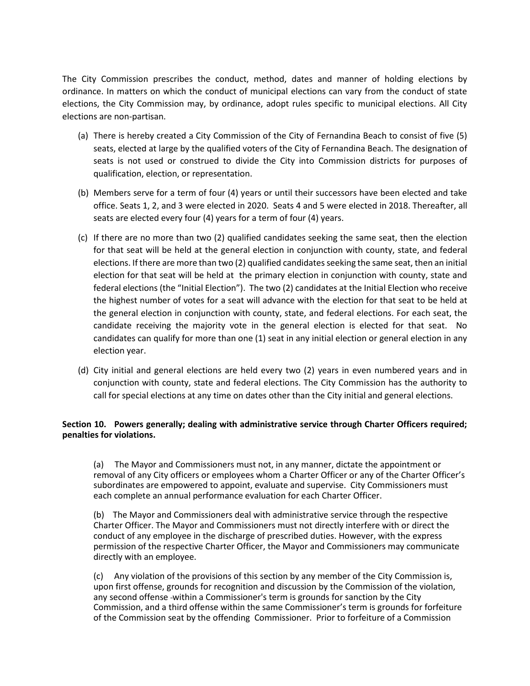The City Commission prescribes the conduct, method, dates and manner of holding elections by ordinance. In matters on which the conduct of municipal elections can vary from the conduct of state elections, the City Commission may, by ordinance, adopt rules specific to municipal elections. All City elections are non-partisan.

- (a) There is hereby created a City Commission of the City of Fernandina Beach to consist of five (5) seats, elected at large by the qualified voters of the City of Fernandina Beach. The designation of seats is not used or construed to divide the City into Commission districts for purposes of qualification, election, or representation.
- (b) Members serve for a term of four (4) years or until their successors have been elected and take office. Seats 1, 2, and 3 were elected in 2020. Seats 4 and 5 were elected in 2018. Thereafter, all seats are elected every four (4) years for a term of four (4) years.
- (c) If there are no more than two (2) qualified candidates seeking the same seat, then the election for that seat will be held at the general election in conjunction with county, state, and federal elections. If there are more than two (2) qualified candidates seeking the same seat, then an initial election for that seat will be held at the primary election in conjunction with county, state and federal elections (the "Initial Election"). The two (2) candidates at the Initial Election who receive the highest number of votes for a seat will advance with the election for that seat to be held at the general election in conjunction with county, state, and federal elections. For each seat, the candidate receiving the majority vote in the general election is elected for that seat. No candidates can qualify for more than one (1) seat in any initial election or general election in any election year.
- (d) City initial and general elections are held every two (2) years in even numbered years and in conjunction with county, state and federal elections. The City Commission has the authority to call for special elections at any time on dates other than the City initial and general elections.

## **Section 10. Powers generally; dealing with administrative service through Charter Officers required; penalties for violations.**

(a) The Mayor and Commissioners must not, in any manner, dictate the appointment or removal of any City officers or employees whom a Charter Officer or any of the Charter Officer's subordinates are empowered to appoint, evaluate and supervise. City Commissioners must each complete an annual performance evaluation for each Charter Officer.

(b) The Mayor and Commissioners deal with administrative service through the respective Charter Officer. The Mayor and Commissioners must not directly interfere with or direct the conduct of any employee in the discharge of prescribed duties. However, with the express permission of the respective Charter Officer, the Mayor and Commissioners may communicate directly with an employee.

(c) Any violation of the provisions of this section by any member of the City Commission is, upon first offense, grounds for recognition and discussion by the Commission of the violation, any second offense within a Commissioner's term is grounds for sanction by the City Commission, and a third offense within the same Commissioner's term is grounds for forfeiture of the Commission seat by the offending Commissioner. Prior to forfeiture of a Commission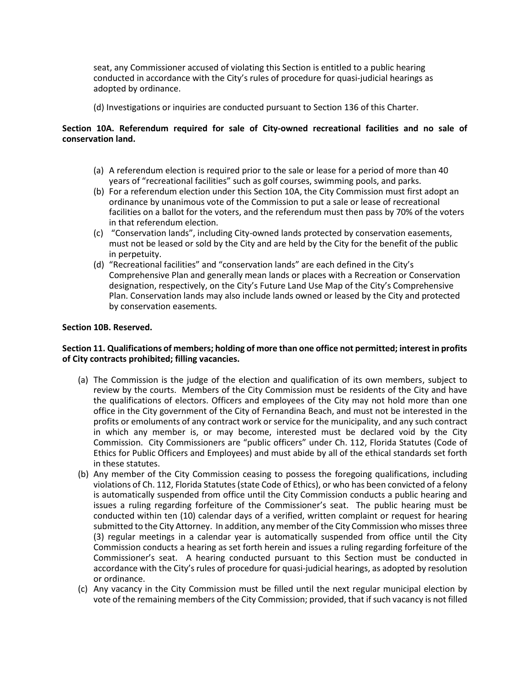seat, any Commissioner accused of violating this Section is entitled to a public hearing conducted in accordance with the City's rules of procedure for quasi-judicial hearings as adopted by ordinance.

(d) Investigations or inquiries are conducted pursuant to Section 136 of this Charter.

## **Section 10A. Referendum required for sale of City-owned recreational facilities and no sale of conservation land.**

- (a) A referendum election is required prior to the sale or lease for a period of more than 40 years of "recreational facilities" such as golf courses, swimming pools, and parks.
- (b) For a referendum election under this Section 10A, the City Commission must first adopt an ordinance by unanimous vote of the Commission to put a sale or lease of recreational facilities on a ballot for the voters, and the referendum must then pass by 70% of the voters in that referendum election.
- (c) "Conservation lands", including City-owned lands protected by conservation easements, must not be leased or sold by the City and are held by the City for the benefit of the public in perpetuity.
- (d) "Recreational facilities" and "conservation lands" are each defined in the City's Comprehensive Plan and generally mean lands or places with a Recreation or Conservation designation, respectively, on the City's Future Land Use Map of the City's Comprehensive Plan. Conservation lands may also include lands owned or leased by the City and protected by conservation easements.

## **Section 10B. Reserved.**

## **Section 11. Qualifications of members; holding of more than one office not permitted; interest in profits of City contracts prohibited; filling vacancies.**

- (a) The Commission is the judge of the election and qualification of its own members, subject to review by the courts. Members of the City Commission must be residents of the City and have the qualifications of electors. Officers and employees of the City may not hold more than one office in the City government of the City of Fernandina Beach, and must not be interested in the profits or emoluments of any contract work or service for the municipality, and any such contract in which any member is, or may become, interested must be declared void by the City Commission. City Commissioners are "public officers" under Ch. 112, Florida Statutes (Code of Ethics for Public Officers and Employees) and must abide by all of the ethical standards set forth in these statutes.
- (b) Any member of the City Commission ceasing to possess the foregoing qualifications, including violations of Ch. 112, Florida Statutes (state Code of Ethics), or who has been convicted of a felony is automatically suspended from office until the City Commission conducts a public hearing and issues a ruling regarding forfeiture of the Commissioner's seat. The public hearing must be conducted within ten (10) calendar days of a verified, written complaint or request for hearing submitted to the City Attorney. In addition, any member of the City Commission who misses three (3) regular meetings in a calendar year is automatically suspended from office until the City Commission conducts a hearing as set forth herein and issues a ruling regarding forfeiture of the Commissioner's seat. A hearing conducted pursuant to this Section must be conducted in accordance with the City's rules of procedure for quasi-judicial hearings, as adopted by resolution or ordinance.
- (c) Any vacancy in the City Commission must be filled until the next regular municipal election by vote of the remaining members of the City Commission; provided, that if such vacancy is not filled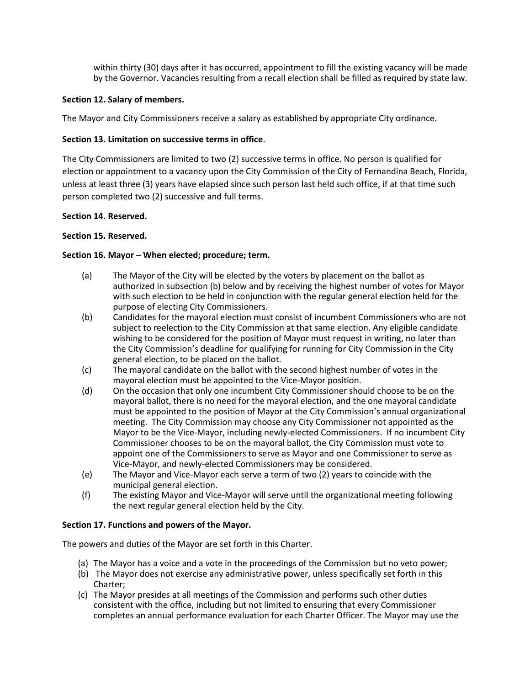within thirty (30) days after it has occurred, appointment to fill the existing vacancy will be made by the Governor. Vacancies resulting from a recall election shall be filled as required by state law.

## **Section 12. Salary of members.**

The Mayor and City Commissioners receive a salary as established by appropriate City ordinance.

## **Section 13. Limitation on successive terms in office**.

The City Commissioners are limited to two (2) successive terms in office. No person is qualified for election or appointment to a vacancy upon the City Commission of the City of Fernandina Beach, Florida, unless at least three (3) years have elapsed since such person last held such office, if at that time such person completed two (2) successive and full terms.

## **Section 14. Reserved.**

## **Section 15. Reserved.**

## **Section 16. Mayor – When elected; procedure; term.**

- (a) The Mayor of the City will be elected by the voters by placement on the ballot as authorized in subsection (b) below and by receiving the highest number of votes for Mayor with such election to be held in conjunction with the regular general election held for the purpose of electing City Commissioners.
- (b) Candidates for the mayoral election must consist of incumbent Commissioners who are not subject to reelection to the City Commission at that same election. Any eligible candidate wishing to be considered for the position of Mayor must request in writing, no later than the City Commission's deadline for qualifying for running for City Commission in the City general election, to be placed on the ballot.
- (c) The mayoral candidate on the ballot with the second highest number of votes in the mayoral election must be appointed to the Vice-Mayor position.
- (d) On the occasion that only one incumbent City Commissioner should choose to be on the mayoral ballot, there is no need for the mayoral election, and the one mayoral candidate must be appointed to the position of Mayor at the City Commission's annual organizational meeting. The City Commission may choose any City Commissioner not appointed as the Mayor to be the Vice-Mayor, including newly-elected Commissioners. If no incumbent City Commissioner chooses to be on the mayoral ballot, the City Commission must vote to appoint one of the Commissioners to serve as Mayor and one Commissioner to serve as Vice-Mayor, and newly-elected Commissioners may be considered.
- (e) The Mayor and Vice-Mayor each serve a term of two (2) years to coincide with the municipal general election.
- (f) The existing Mayor and Vice-Mayor will serve until the organizational meeting following the next regular general election held by the City.

#### **Section 17. Functions and powers of the Mayor.**

The powers and duties of the Mayor are set forth in this Charter.

- (a) The Mayor has a voice and a vote in the proceedings of the Commission but no veto power;
- (b) The Mayor does not exercise any administrative power, unless specifically set forth in this Charter;
- (c) The Mayor presides at all meetings of the Commission and performs such other duties consistent with the office, including but not limited to ensuring that every Commissioner completes an annual performance evaluation for each Charter Officer. The Mayor may use the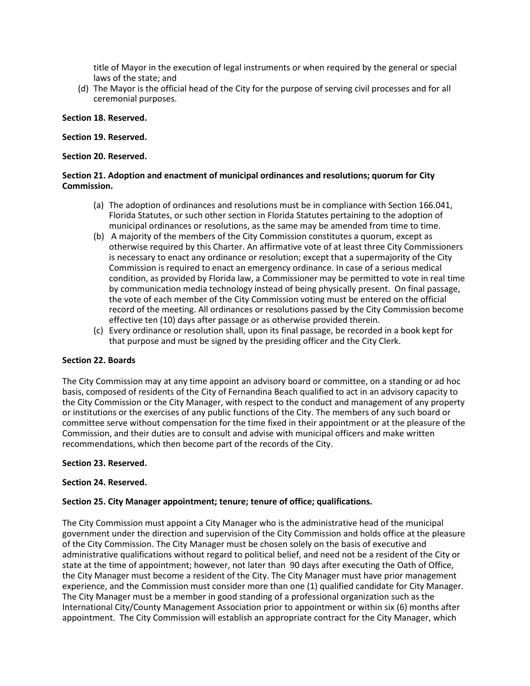title of Mayor in the execution of legal instruments or when required by the general or special laws of the state; and

(d) The Mayor is the official head of the City for the purpose of serving civil processes and for all ceremonial purposes.

### **Section 18. Reserved.**

#### **Section 19. Reserved.**

### **Section 20. Reserved.**

## **Section 21. Adoption and enactment of municipal ordinances and resolutions; quorum for City Commission.**

- (a) The adoption of ordinances and resolutions must be in compliance with Section 166.041, Florida Statutes, or such other section in Florida Statutes pertaining to the adoption of municipal ordinances or resolutions, as the same may be amended from time to time.
- (b) A majority of the members of the City Commission constitutes a quorum, except as otherwise required by this Charter. An affirmative vote of at least three City Commissioners is necessary to enact any ordinance or resolution; except that a supermajority of the City Commission is required to enact an emergency ordinance. In case of a serious medical condition, as provided by Florida law, a Commissioner may be permitted to vote in real time by communication media technology instead of being physically present. On final passage, the vote of each member of the City Commission voting must be entered on the official record of the meeting. All ordinances or resolutions passed by the City Commission become effective ten (10) days after passage or as otherwise provided therein.
- (c) Every ordinance or resolution shall, upon its final passage, be recorded in a book kept for that purpose and must be signed by the presiding officer and the City Clerk.

#### **Section 22. Boards**

The City Commission may at any time appoint an advisory board or committee, on a standing or ad hoc basis, composed of residents of the City of Fernandina Beach qualified to act in an advisory capacity to the City Commission or the City Manager, with respect to the conduct and management of any property or institutions or the exercises of any public functions of the City. The members of any such board or committee serve without compensation for the time fixed in their appointment or at the pleasure of the Commission, and their duties are to consult and advise with municipal officers and make written recommendations, which then become part of the records of the City.

#### **Section 23. Reserved.**

#### **Section 24. Reserved.**

## **Section 25. City Manager appointment; tenure; tenure of office; qualifications.**

The City Commission must appoint a City Manager who is the administrative head of the municipal government under the direction and supervision of the City Commission and holds office at the pleasure of the City Commission. The City Manager must be chosen solely on the basis of executive and administrative qualifications without regard to political belief, and need not be a resident of the City or state at the time of appointment; however, not later than 90 days after executing the Oath of Office, the City Manager must become a resident of the City. The City Manager must have prior management experience, and the Commission must consider more than one (1) qualified candidate for City Manager. The City Manager must be a member in good standing of a professional organization such as the International City/County Management Association prior to appointment or within six (6) months after appointment. The City Commission will establish an appropriate contract for the City Manager, which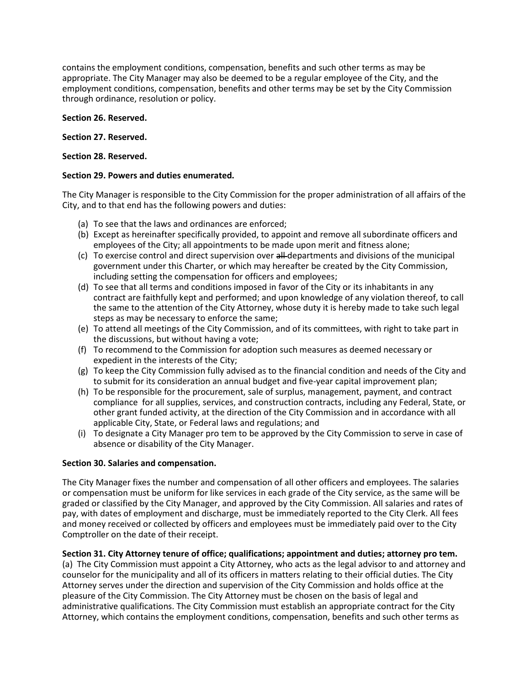contains the employment conditions, compensation, benefits and such other terms as may be appropriate. The City Manager may also be deemed to be a regular employee of the City, and the employment conditions, compensation, benefits and other terms may be set by the City Commission through ordinance, resolution or policy.

## **Section 26. Reserved.**

## **Section 27. Reserved.**

## **Section 28. Reserved.**

## **Section 29. Powers and duties enumerated.**

The City Manager is responsible to the City Commission for the proper administration of all affairs of the City, and to that end has the following powers and duties:

- (a) To see that the laws and ordinances are enforced;
- (b) Except as hereinafter specifically provided, to appoint and remove all subordinate officers and employees of the City; all appointments to be made upon merit and fitness alone;
- (c) To exercise control and direct supervision over all departments and divisions of the municipal government under this Charter, or which may hereafter be created by the City Commission, including setting the compensation for officers and employees;
- (d) To see that all terms and conditions imposed in favor of the City or its inhabitants in any contract are faithfully kept and performed; and upon knowledge of any violation thereof, to call the same to the attention of the City Attorney, whose duty it is hereby made to take such legal steps as may be necessary to enforce the same;
- (e) To attend all meetings of the City Commission, and of its committees, with right to take part in the discussions, but without having a vote;
- (f) To recommend to the Commission for adoption such measures as deemed necessary or expedient in the interests of the City;
- (g) To keep the City Commission fully advised as to the financial condition and needs of the City and to submit for its consideration an annual budget and five-year capital improvement plan;
- (h) To be responsible for the procurement, sale of surplus, management, payment, and contract compliance for all supplies, services, and construction contracts, including any Federal, State, or other grant funded activity, at the direction of the City Commission and in accordance with all applicable City, State, or Federal laws and regulations; and
- (i) To designate a City Manager pro tem to be approved by the City Commission to serve in case of absence or disability of the City Manager.

## **Section 30. Salaries and compensation.**

The City Manager fixes the number and compensation of all other officers and employees. The salaries or compensation must be uniform for like services in each grade of the City service, as the same will be graded or classified by the City Manager, and approved by the City Commission. All salaries and rates of pay, with dates of employment and discharge, must be immediately reported to the City Clerk. All fees and money received or collected by officers and employees must be immediately paid over to the City Comptroller on the date of their receipt.

## **Section 31. City Attorney tenure of office; qualifications; appointment and duties; attorney pro tem.**

(a) The City Commission must appoint a City Attorney, who acts as the legal advisor to and attorney and counselor for the municipality and all of its officers in matters relating to their official duties. The City Attorney serves under the direction and supervision of the City Commission and holds office at the pleasure of the City Commission. The City Attorney must be chosen on the basis of legal and administrative qualifications. The City Commission must establish an appropriate contract for the City Attorney, which contains the employment conditions, compensation, benefits and such other terms as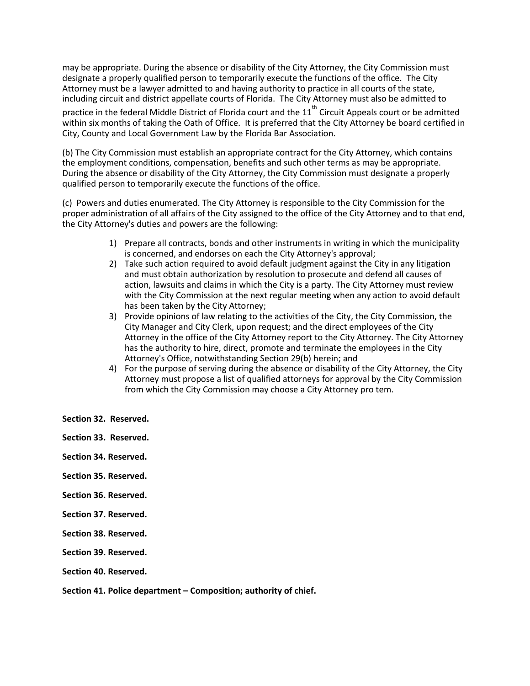may be appropriate. During the absence or disability of the City Attorney, the City Commission must designate a properly qualified person to temporarily execute the functions of the office. The City Attorney must be a lawyer admitted to and having authority to practice in all courts of the state, including circuit and district appellate courts of Florida. The City Attorney must also be admitted to

practice in the federal Middle District of Florida court and the 11<sup>th</sup> Circuit Appeals court or be admitted within six months of taking the Oath of Office. It is preferred that the City Attorney be board certified in City, County and Local Government Law by the Florida Bar Association.

(b) The City Commission must establish an appropriate contract for the City Attorney, which contains the employment conditions, compensation, benefits and such other terms as may be appropriate. During the absence or disability of the City Attorney, the City Commission must designate a properly qualified person to temporarily execute the functions of the office.

(c) Powers and duties enumerated. The City Attorney is responsible to the City Commission for the proper administration of all affairs of the City assigned to the office of the City Attorney and to that end, the City Attorney's duties and powers are the following:

- 1) Prepare all contracts, bonds and other instruments in writing in which the municipality is concerned, and endorses on each the City Attorney's approval;
- 2) Take such action required to avoid default judgment against the City in any litigation and must obtain authorization by resolution to prosecute and defend all causes of action, lawsuits and claims in which the City is a party. The City Attorney must review with the City Commission at the next regular meeting when any action to avoid default has been taken by the City Attorney;
- 3) Provide opinions of law relating to the activities of the City, the City Commission, the City Manager and City Clerk, upon request; and the direct employees of the City Attorney in the office of the City Attorney report to the City Attorney. The City Attorney has the authority to hire, direct, promote and terminate the employees in the City Attorney's Office, notwithstanding Section 29(b) herein; and
- 4) For the purpose of serving during the absence or disability of the City Attorney, the City Attorney must propose a list of qualified attorneys for approval by the City Commission from which the City Commission may choose a City Attorney pro tem.
- **Section 32. Reserved.**
- **Section 33. Reserved.**
- **Section 34. Reserved.**
- **Section 35. Reserved.**
- **Section 36. Reserved.**
- **Section 37. Reserved.**
- **Section 38. Reserved.**
- **Section 39. Reserved.**
- **Section 40. Reserved.**

**Section 41. Police department – Composition; authority of chief.**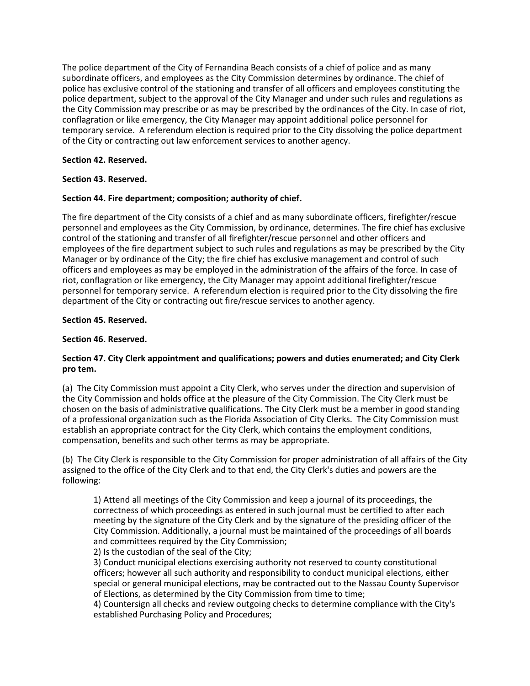The police department of the City of Fernandina Beach consists of a chief of police and as many subordinate officers, and employees as the City Commission determines by ordinance. The chief of police has exclusive control of the stationing and transfer of all officers and employees constituting the police department, subject to the approval of the City Manager and under such rules and regulations as the City Commission may prescribe or as may be prescribed by the ordinances of the City. In case of riot, conflagration or like emergency, the City Manager may appoint additional police personnel for temporary service. A referendum election is required prior to the City dissolving the police department of the City or contracting out law enforcement services to another agency.

## **Section 42. Reserved.**

# **Section 43. Reserved.**

# **Section 44. Fire department; composition; authority of chief.**

The fire department of the City consists of a chief and as many subordinate officers, firefighter/rescue personnel and employees as the City Commission, by ordinance, determines. The fire chief has exclusive control of the stationing and transfer of all firefighter/rescue personnel and other officers and employees of the fire department subject to such rules and regulations as may be prescribed by the City Manager or by ordinance of the City; the fire chief has exclusive management and control of such officers and employees as may be employed in the administration of the affairs of the force. In case of riot, conflagration or like emergency, the City Manager may appoint additional firefighter/rescue personnel for temporary service. A referendum election is required prior to the City dissolving the fire department of the City or contracting out fire/rescue services to another agency.

## **Section 45. Reserved.**

## **Section 46. Reserved.**

## **Section 47. City Clerk appointment and qualifications; powers and duties enumerated; and City Clerk pro tem.**

(a) The City Commission must appoint a City Clerk, who serves under the direction and supervision of the City Commission and holds office at the pleasure of the City Commission. The City Clerk must be chosen on the basis of administrative qualifications. The City Clerk must be a member in good standing of a professional organization such as the Florida Association of City Clerks. The City Commission must establish an appropriate contract for the City Clerk, which contains the employment conditions, compensation, benefits and such other terms as may be appropriate.

(b) The City Clerk is responsible to the City Commission for proper administration of all affairs of the City assigned to the office of the City Clerk and to that end, the City Clerk's duties and powers are the following:

1) Attend all meetings of the City Commission and keep a journal of its proceedings, the correctness of which proceedings as entered in such journal must be certified to after each meeting by the signature of the City Clerk and by the signature of the presiding officer of the City Commission. Additionally, a journal must be maintained of the proceedings of all boards and committees required by the City Commission;

2) Is the custodian of the seal of the City;

3) Conduct municipal elections exercising authority not reserved to county constitutional officers; however all such authority and responsibility to conduct municipal elections, either special or general municipal elections, may be contracted out to the Nassau County Supervisor of Elections, as determined by the City Commission from time to time;

4) Countersign all checks and review outgoing checks to determine compliance with the City's established Purchasing Policy and Procedures;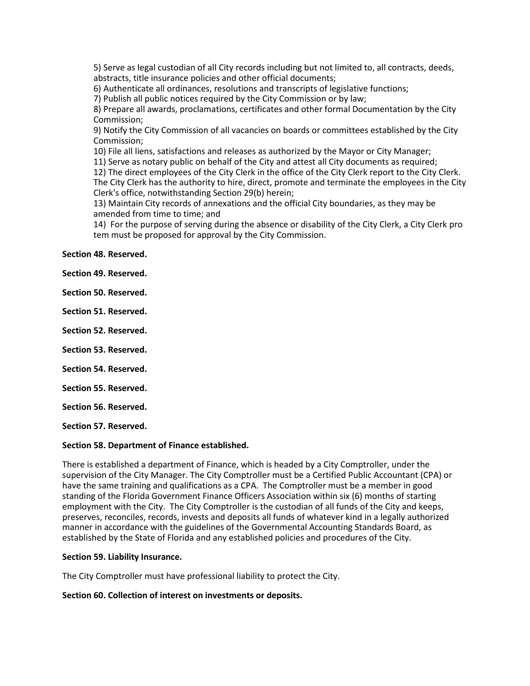5) Serve as legal custodian of all City records including but not limited to, all contracts, deeds, abstracts, title insurance policies and other official documents;

6) Authenticate all ordinances, resolutions and transcripts of legislative functions;

7) Publish all public notices required by the City Commission or by law;

8) Prepare all awards, proclamations, certificates and other formal Documentation by the City Commission;

9) Notify the City Commission of all vacancies on boards or committees established by the City Commission;

10) File all liens, satisfactions and releases as authorized by the Mayor or City Manager;

11) Serve as notary public on behalf of the City and attest all City documents as required;

12) The direct employees of the City Clerk in the office of the City Clerk report to the City Clerk. The City Clerk has the authority to hire, direct, promote and terminate the employees in the City Clerk's office, notwithstanding Section 29(b) herein;

13) Maintain City records of annexations and the official City boundaries, as they may be amended from time to time; and

14) For the purpose of serving during the absence or disability of the City Clerk, a City Clerk pro tem must be proposed for approval by the City Commission.

**Section 48. Reserved.**

**Section 49. Reserved.**

**Section 50. Reserved.**

**Section 51. Reserved.**

**Section 52. Reserved.**

**Section 53. Reserved.**

**Section 54. Reserved.**

**Section 55. Reserved.**

**Section 56. Reserved.**

**Section 57. Reserved.**

#### **Section 58. Department of Finance established.**

There is established a department of Finance, which is headed by a City Comptroller, under the supervision of the City Manager. The City Comptroller must be a Certified Public Accountant (CPA) or have the same training and qualifications as a CPA. The Comptroller must be a member in good standing of the Florida Government Finance Officers Association within six (6) months of starting employment with the City. The City Comptroller is the custodian of all funds of the City and keeps, preserves, reconciles, records, invests and deposits all funds of whatever kind in a legally authorized manner in accordance with the guidelines of the Governmental Accounting Standards Board, as established by the State of Florida and any established policies and procedures of the City.

#### **Section 59. Liability Insurance.**

The City Comptroller must have professional liability to protect the City.

#### **Section 60. Collection of interest on investments or deposits.**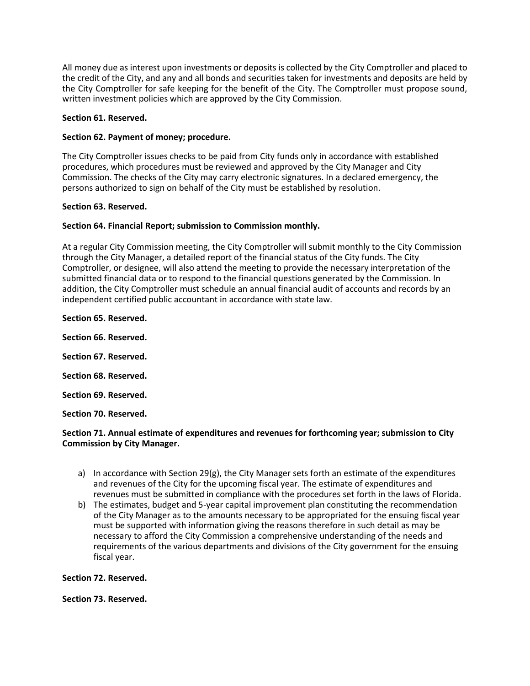All money due as interest upon investments or deposits is collected by the City Comptroller and placed to the credit of the City, and any and all bonds and securities taken for investments and deposits are held by the City Comptroller for safe keeping for the benefit of the City. The Comptroller must propose sound, written investment policies which are approved by the City Commission.

## **Section 61. Reserved.**

## **Section 62. Payment of money; procedure.**

The City Comptroller issues checks to be paid from City funds only in accordance with established procedures, which procedures must be reviewed and approved by the City Manager and City Commission. The checks of the City may carry electronic signatures. In a declared emergency, the persons authorized to sign on behalf of the City must be established by resolution.

## **Section 63. Reserved.**

## **Section 64. Financial Report; submission to Commission monthly.**

At a regular City Commission meeting, the City Comptroller will submit monthly to the City Commission through the City Manager, a detailed report of the financial status of the City funds. The City Comptroller, or designee, will also attend the meeting to provide the necessary interpretation of the submitted financial data or to respond to the financial questions generated by the Commission. In addition, the City Comptroller must schedule an annual financial audit of accounts and records by an independent certified public accountant in accordance with state law.

**Section 65. Reserved.**

**Section 66. Reserved.**

**Section 67. Reserved.**

**Section 68. Reserved.**

**Section 69. Reserved.**

**Section 70. Reserved.**

## **Section 71. Annual estimate of expenditures and revenues for forthcoming year; submission to City Commission by City Manager.**

- a) In accordance with Section 29(g), the City Manager sets forth an estimate of the expenditures and revenues of the City for the upcoming fiscal year. The estimate of expenditures and revenues must be submitted in compliance with the procedures set forth in the laws of Florida.
- b) The estimates, budget and 5-year capital improvement plan constituting the recommendation of the City Manager as to the amounts necessary to be appropriated for the ensuing fiscal year must be supported with information giving the reasons therefore in such detail as may be necessary to afford the City Commission a comprehensive understanding of the needs and requirements of the various departments and divisions of the City government for the ensuing fiscal year.

**Section 72. Reserved.**

**Section 73. Reserved.**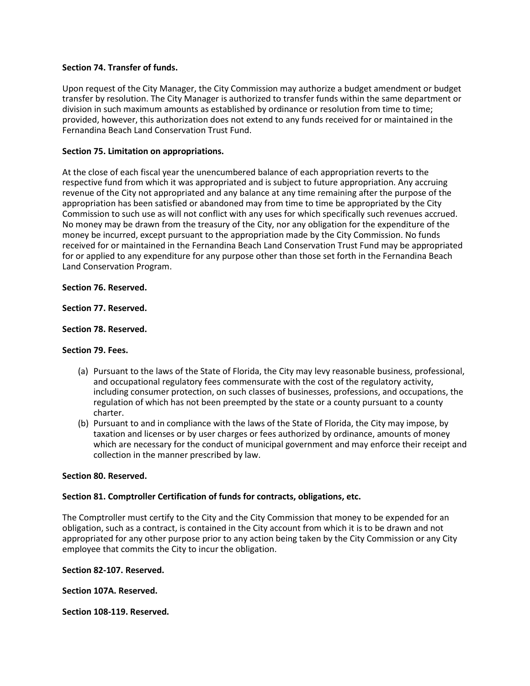### **Section 74. Transfer of funds.**

Upon request of the City Manager, the City Commission may authorize a budget amendment or budget transfer by resolution. The City Manager is authorized to transfer funds within the same department or division in such maximum amounts as established by ordinance or resolution from time to time; provided, however, this authorization does not extend to any funds received for or maintained in the Fernandina Beach Land Conservation Trust Fund.

## **Section 75. Limitation on appropriations.**

At the close of each fiscal year the unencumbered balance of each appropriation reverts to the respective fund from which it was appropriated and is subject to future appropriation. Any accruing revenue of the City not appropriated and any balance at any time remaining after the purpose of the appropriation has been satisfied or abandoned may from time to time be appropriated by the City Commission to such use as will not conflict with any uses for which specifically such revenues accrued. No money may be drawn from the treasury of the City, nor any obligation for the expenditure of the money be incurred, except pursuant to the appropriation made by the City Commission. No funds received for or maintained in the Fernandina Beach Land Conservation Trust Fund may be appropriated for or applied to any expenditure for any purpose other than those set forth in the Fernandina Beach Land Conservation Program.

## **Section 76. Reserved.**

## **Section 77. Reserved.**

## **Section 78. Reserved.**

#### **Section 79. Fees.**

- (a) Pursuant to the laws of the State of Florida, the City may levy reasonable business, professional, and occupational regulatory fees commensurate with the cost of the regulatory activity, including consumer protection, on such classes of businesses, professions, and occupations, the regulation of which has not been preempted by the state or a county pursuant to a county charter.
- (b) Pursuant to and in compliance with the laws of the State of Florida, the City may impose, by taxation and licenses or by user charges or fees authorized by ordinance, amounts of money which are necessary for the conduct of municipal government and may enforce their receipt and collection in the manner prescribed by law.

#### **Section 80. Reserved.**

#### **Section 81. Comptroller Certification of funds for contracts, obligations, etc.**

The Comptroller must certify to the City and the City Commission that money to be expended for an obligation, such as a contract, is contained in the City account from which it is to be drawn and not appropriated for any other purpose prior to any action being taken by the City Commission or any City employee that commits the City to incur the obligation.

#### **Section 82-107. Reserved.**

**Section 107A. Reserved.**

**Section 108-119. Reserved.**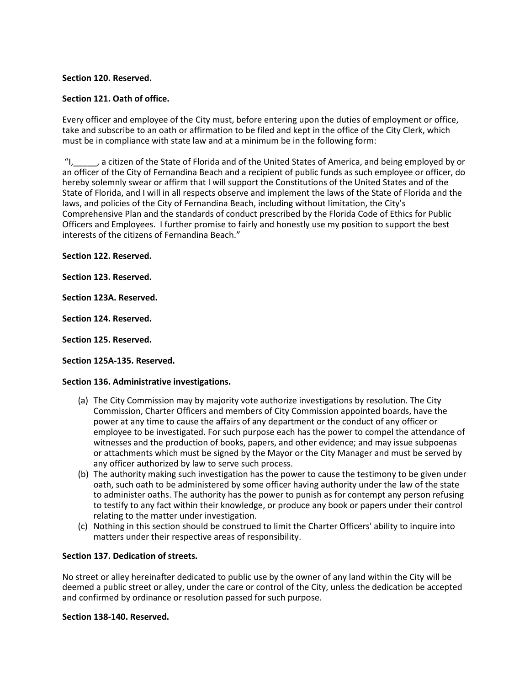## **Section 120. Reserved.**

## **Section 121. Oath of office.**

Every officer and employee of the City must, before entering upon the duties of employment or office, take and subscribe to an oath or affirmation to be filed and kept in the office of the City Clerk, which must be in compliance with state law and at a minimum be in the following form:

..., a citizen of the State of Florida and of the United States of America, and being employed by or an officer of the City of Fernandina Beach and a recipient of public funds as such employee or officer, do hereby solemnly swear or affirm that I will support the Constitutions of the United States and of the State of Florida, and I will in all respects observe and implement the laws of the State of Florida and the laws, and policies of the City of Fernandina Beach, including without limitation, the City's Comprehensive Plan and the standards of conduct prescribed by the Florida Code of Ethics for Public Officers and Employees. I further promise to fairly and honestly use my position to support the best interests of the citizens of Fernandina Beach."

**Section 122. Reserved.**

**Section 123. Reserved.**

**Section 123A. Reserved.**

**Section 124. Reserved.**

**Section 125. Reserved.**

**Section 125A-135. Reserved.**

#### **Section 136. Administrative investigations.**

- (a) The City Commission may by majority vote authorize investigations by resolution. The City Commission, Charter Officers and members of City Commission appointed boards, have the power at any time to cause the affairs of any department or the conduct of any officer or employee to be investigated. For such purpose each has the power to compel the attendance of witnesses and the production of books, papers, and other evidence; and may issue subpoenas or attachments which must be signed by the Mayor or the City Manager and must be served by any officer authorized by law to serve such process.
- (b) The authority making such investigation has the power to cause the testimony to be given under oath, such oath to be administered by some officer having authority under the law of the state to administer oaths. The authority has the power to punish as for contempt any person refusing to testify to any fact within their knowledge, or produce any book or papers under their control relating to the matter under investigation.
- (c) Nothing in this section should be construed to limit the Charter Officers' ability to inquire into matters under their respective areas of responsibility.

## **Section 137. Dedication of streets.**

No street or alley hereinafter dedicated to public use by the owner of any land within the City will be deemed a public street or alley, under the care or control of the City, unless the dedication be accepted and confirmed by ordinance or resolution passed for such purpose.

**Section 138-140. Reserved.**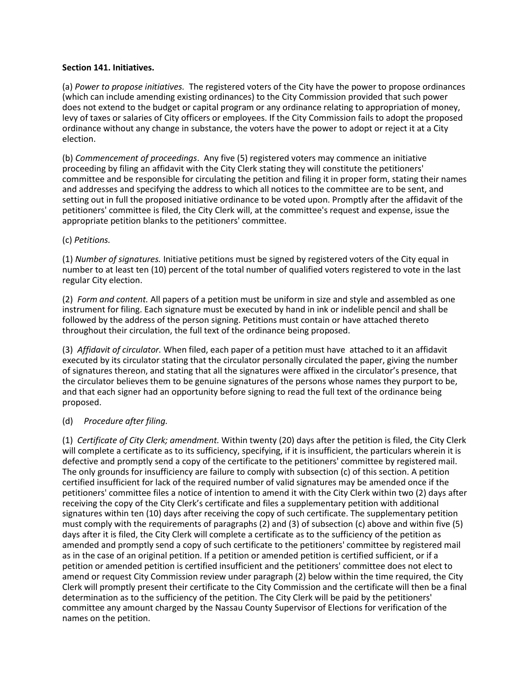#### **Section 141. Initiatives.**

(a) *Power to propose initiatives.* The registered voters of the City have the power to propose ordinances (which can include amending existing ordinances) to the City Commission provided that such power does not extend to the budget or capital program or any ordinance relating to appropriation of money, levy of taxes or salaries of City officers or employees. If the City Commission fails to adopt the proposed ordinance without any change in substance, the voters have the power to adopt or reject it at a City election.

(b) *Commencement of proceedings*. Any five (5) registered voters may commence an initiative proceeding by filing an affidavit with the City Clerk stating they will constitute the petitioners' committee and be responsible for circulating the petition and filing it in proper form, stating their names and addresses and specifying the address to which all notices to the committee are to be sent, and setting out in full the proposed initiative ordinance to be voted upon. Promptly after the affidavit of the petitioners' committee is filed, the City Clerk will, at the committee's request and expense, issue the appropriate petition blanks to the petitioners' committee.

#### (c) *Petitions.*

(1) *Number of signatures.* Initiative petitions must be signed by registered voters of the City equal in number to at least ten (10) percent of the total number of qualified voters registered to vote in the last regular City election.

(2) *Form and content.* All papers of a petition must be uniform in size and style and assembled as one instrument for filing. Each signature must be executed by hand in ink or indelible pencil and shall be followed by the address of the person signing. Petitions must contain or have attached thereto throughout their circulation, the full text of the ordinance being proposed.

(3) *Affidavit of circulator.* When filed, each paper of a petition must have attached to it an affidavit executed by its circulator stating that the circulator personally circulated the paper, giving the number of signatures thereon, and stating that all the signatures were affixed in the circulator's presence, that the circulator believes them to be genuine signatures of the persons whose names they purport to be, and that each signer had an opportunity before signing to read the full text of the ordinance being proposed.

## (d) *Procedure after filing.*

(1) *Certificate of City Clerk; amendment.* Within twenty (20) days after the petition is filed, the City Clerk will complete a certificate as to its sufficiency, specifying, if it is insufficient, the particulars wherein it is defective and promptly send a copy of the certificate to the petitioners' committee by registered mail. The only grounds for insufficiency are failure to comply with subsection (c) of this section. A petition certified insufficient for lack of the required number of valid signatures may be amended once if the petitioners' committee files a notice of intention to amend it with the City Clerk within two (2) days after receiving the copy of the City Clerk's certificate and files a supplementary petition with additional signatures within ten (10) days after receiving the copy of such certificate. The supplementary petition must comply with the requirements of paragraphs (2) and (3) of subsection (c) above and within five (5) days after it is filed, the City Clerk will complete a certificate as to the sufficiency of the petition as amended and promptly send a copy of such certificate to the petitioners' committee by registered mail as in the case of an original petition. If a petition or amended petition is certified sufficient, or if a petition or amended petition is certified insufficient and the petitioners' committee does not elect to amend or request City Commission review under paragraph (2) below within the time required, the City Clerk will promptly present their certificate to the City Commission and the certificate will then be a final determination as to the sufficiency of the petition. The City Clerk will be paid by the petitioners' committee any amount charged by the Nassau County Supervisor of Elections for verification of the names on the petition.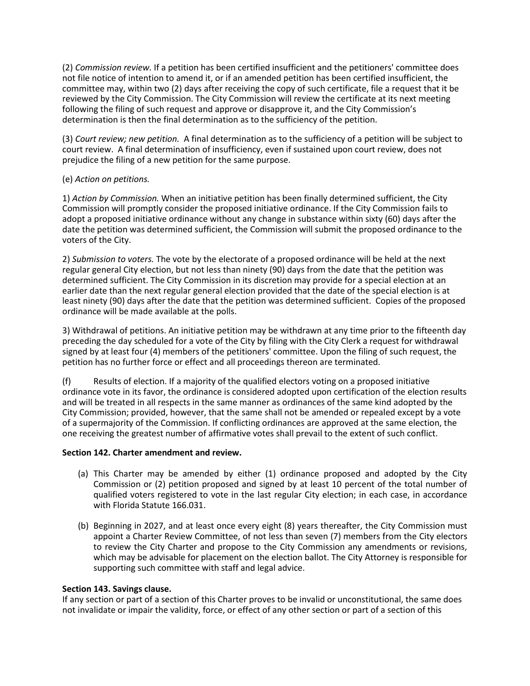(2) *Commission review.* If a petition has been certified insufficient and the petitioners' committee does not file notice of intention to amend it, or if an amended petition has been certified insufficient, the committee may, within two (2) days after receiving the copy of such certificate, file a request that it be reviewed by the City Commission. The City Commission will review the certificate at its next meeting following the filing of such request and approve or disapprove it, and the City Commission's determination is then the final determination as to the sufficiency of the petition.

(3) *Court review; new petition.* A final determination as to the sufficiency of a petition will be subject to court review. A final determination of insufficiency, even if sustained upon court review, does not prejudice the filing of a new petition for the same purpose.

## (e) *Action on petitions.*

1) *Action by Commission.* When an initiative petition has been finally determined sufficient, the City Commission will promptly consider the proposed initiative ordinance. If the City Commission fails to adopt a proposed initiative ordinance without any change in substance within sixty (60) days after the date the petition was determined sufficient, the Commission will submit the proposed ordinance to the voters of the City.

2) *Submission to voters.* The vote by the electorate of a proposed ordinance will be held at the next regular general City election, but not less than ninety (90) days from the date that the petition was determined sufficient. The City Commission in its discretion may provide for a special election at an earlier date than the next regular general election provided that the date of the special election is at least ninety (90) days after the date that the petition was determined sufficient. Copies of the proposed ordinance will be made available at the polls.

3) Withdrawal of petitions. An initiative petition may be withdrawn at any time prior to the fifteenth day preceding the day scheduled for a vote of the City by filing with the City Clerk a request for withdrawal signed by at least four (4) members of the petitioners' committee. Upon the filing of such request, the petition has no further force or effect and all proceedings thereon are terminated.

(f) Results of election. If a majority of the qualified electors voting on a proposed initiative ordinance vote in its favor, the ordinance is considered adopted upon certification of the election results and will be treated in all respects in the same manner as ordinances of the same kind adopted by the City Commission; provided, however, that the same shall not be amended or repealed except by a vote of a supermajority of the Commission. If conflicting ordinances are approved at the same election, the one receiving the greatest number of affirmative votes shall prevail to the extent of such conflict.

## **Section 142. Charter amendment and review.**

- (a) This Charter may be amended by either (1) ordinance proposed and adopted by the City Commission or (2) petition proposed and signed by at least 10 percent of the total number of qualified voters registered to vote in the last regular City election; in each case, in accordance with Florida Statute 166.031.
- (b) Beginning in 2027, and at least once every eight (8) years thereafter, the City Commission must appoint a Charter Review Committee, of not less than seven (7) members from the City electors to review the City Charter and propose to the City Commission any amendments or revisions, which may be advisable for placement on the election ballot. The City Attorney is responsible for supporting such committee with staff and legal advice.

#### **Section 143. Savings clause.**

If any section or part of a section of this Charter proves to be invalid or unconstitutional, the same does not invalidate or impair the validity, force, or effect of any other section or part of a section of this